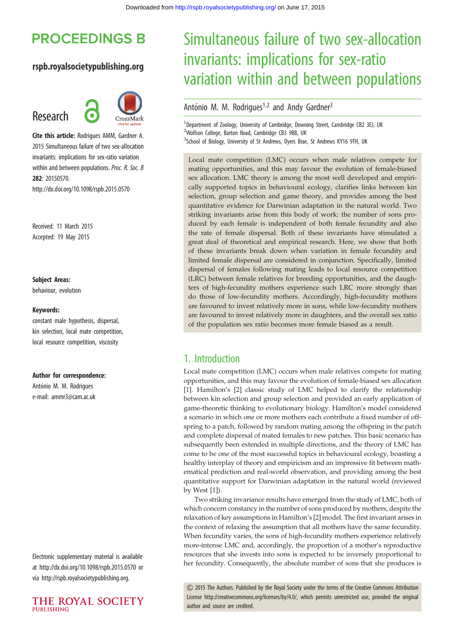# **PROCEEDINGS B**

## rspb.royalsocietypublishing.org

# Research



Cite this article: Rodrigues AMM, Gardner A. 2015 Simultaneous failure of two sex-allocation invariants: implications for sex-ratio variation within and between populations. Proc. R. Soc. B 282: 20150570. http://dx.doi.org/10.1098/rspb.2015.0570

Received: 11 March 2015 Accepted: 19 May 2015

#### Subject Areas:

behaviour, evolution

#### Keywords:

constant male hypothesis, dispersal, kin selection, local mate competition, local resource competition, viscosity

#### Author for correspondence:

António M. M. Rodrigues e-mail: [ammr3@cam.ac.uk](mailto:ammr3@cam.ac.uk)

Electronic supplementary material is available at<http://dx.doi.org/10.1098/rspb.2015.0570> or via<http://rspb.royalsocietypublishing.org>.



# Simultaneous failure of two sex-allocation invariants: implications for sex-ratio variation within and between populations

# António M. M. Rodrigues<sup>1,2</sup> and Andy Gardner<sup>3</sup>

<sup>1</sup>Department of Zoology, University of Cambridge, Downing Street, Cambridge CB2 3EJ, UK <sup>2</sup>Wolfson College, Barton Road, Cambridge CB3 9BB, UK <sup>3</sup>School of Biology, University of St Andrews, Dyers Brae, St Andrews KY16 9TH, UK

Local mate competition (LMC) occurs when male relatives compete for mating opportunities, and this may favour the evolution of female-biased sex allocation. LMC theory is among the most well developed and empirically supported topics in behavioural ecology, clarifies links between kin selection, group selection and game theory, and provides among the best quantitative evidence for Darwinian adaptation in the natural world. Two striking invariants arise from this body of work: the number of sons produced by each female is independent of both female fecundity and also the rate of female dispersal. Both of these invariants have stimulated a great deal of theoretical and empirical research. Here, we show that both of these invariants break down when variation in female fecundity and limited female dispersal are considered in conjunction. Specifically, limited dispersal of females following mating leads to local resource competition (LRC) between female relatives for breeding opportunities, and the daughters of high-fecundity mothers experience such LRC more strongly than do those of low-fecundity mothers. Accordingly, high-fecundity mothers are favoured to invest relatively more in sons, while low-fecundity mothers are favoured to invest relatively more in daughters, and the overall sex ratio of the population sex ratio becomes more female biased as a result.

# 1. Introduction

Local mate competition (LMC) occurs when male relatives compete for mating opportunities, and this may favour the evolution of female-biased sex allocation [[1](#page-6-0)]. Hamilton's [[2](#page-6-0)] classic study of LMC helped to clarify the relationship between kin selection and group selection and provided an early application of game-theoretic thinking to evolutionary biology. Hamilton's model considered a scenario in which one or more mothers each contribute a fixed number of offspring to a patch, followed by random mating among the offspring in the patch and complete dispersal of mated females to new patches. This basic scenario has subsequently been extended in multiple directions, and the theory of LMC has come to be one of the most successful topics in behavioural ecology, boasting a healthy interplay of theory and empiricism and an impressive fit between mathematical prediction and real-world observation, and providing among the best quantitative support for Darwinian adaptation in the natural world (reviewed by West [[1](#page-6-0)]).

Two striking invariance results have emerged from the study of LMC, both of which concern constancy in the number of sons produced by mothers, despite the relaxation of key assumptions in Hamilton's [[2](#page-6-0)] model. The first invariant arises in the context of relaxing the assumption that all mothers have the same fecundity. When fecundity varies, the sons of high-fecundity mothers experience relatively more-intense LMC and, accordingly, the proportion of a mother's reproductive resources that she invests into sons is expected to be inversely proportional to her fecundity. Consequently, the absolute number of sons that she produces is

& 2015 The Authors. Published by the Royal Society under the terms of the Creative Commons Attribution License http://creativecommons.org/licenses/by/4.0/, which permits unrestricted use, provided the original author and source are credited.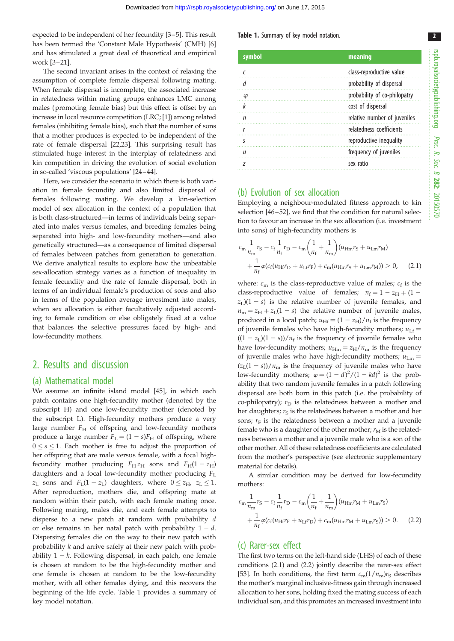expected to be independent of her fecundity [[3](#page-6-0)–[5](#page-6-0)]. This result has been termed the 'Constant Male Hypothesis' (CMH) [\[6\]](#page-6-0) and has stimulated a great deal of theoretical and empirical work [[3](#page-6-0)–[21](#page-6-0)].

The second invariant arises in the context of relaxing the assumption of complete female dispersal following mating. When female dispersal is incomplete, the associated increase in relatedness within mating groups enhances LMC among males (promoting female bias) but this effect is offset by an increase in local resource competition (LRC; [[1](#page-6-0)]) among related females (inhibiting female bias), such that the number of sons that a mother produces is expected to be independent of the rate of female dispersal [[22,23\]](#page-6-0). This surprising result has stimulated huge interest in the interplay of relatedness and kin competition in driving the evolution of social evolution in so-called 'viscous populations' [\[24](#page-6-0)–[44](#page-7-0)].

Here, we consider the scenario in which there is both variation in female fecundity and also limited dispersal of females following mating. We develop a kin-selection model of sex allocation in the context of a population that is both class-structured—in terms of individuals being separated into males versus females, and breeding females being separated into high- and low-fecundity mothers—and also genetically structured—as a consequence of limited dispersal of females between patches from generation to generation. We derive analytical results to explore how the unbeatable sex-allocation strategy varies as a function of inequality in female fecundity and the rate of female dispersal, both in terms of an individual female's production of sons and also in terms of the population average investment into males, when sex allocation is either facultatively adjusted according to female condition or else obligately fixed at a value that balances the selective pressures faced by high- and low-fecundity mothers.

# 2. Results and discussion

#### (a) Mathematical model

We assume an infinite island model [\[45\]](#page-7-0), in which each patch contains one high-fecundity mother (denoted by the subscript H) and one low-fecundity mother (denoted by the subscript L). High-fecundity mothers produce a very large number  $F_H$  of offspring and low-fecundity mothers produce a large number  $F_L = (1 - s)F_H$  of offspring, where  $0 \leq s \leq 1$ . Each mother is free to adjust the proportion of her offspring that are male versus female, with a focal highfecundity mother producing  $F_H z_H$  sons and  $F_H(1 - z_H)$ daughters and a focal low-fecundity mother producing  $F<sub>L</sub>$  $z_L$  sons and  $F_L(1 - z_L)$  daughters, where  $0 \le z_H$ ,  $z_L \le 1$ . After reproduction, mothers die, and offspring mate at random within their patch, with each female mating once. Following mating, males die, and each female attempts to disperse to a new patch at random with probability d or else remains in her natal patch with probability  $1 - d$ . Dispersing females die on the way to their new patch with probability k and arrive safely at their new patch with probability  $1 - k$ . Following dispersal, in each patch, one female is chosen at random to be the high-fecundity mother and one female is chosen at random to be the low-fecundity mother, with all other females dying, and this recovers the beginning of the life cycle. Table 1 provides a summary of key model notation.

Table 1. Summary of key model notation.

 R. Soc. $\sigma$ 

282: 20150570

| symbol    | meaning                      |
|-----------|------------------------------|
| C         | class-reproductive value     |
| d         | probability of dispersal     |
| $\varphi$ | probability of co-philopatry |
| k         | cost of dispersal            |
| n         | relative number of juveniles |
| r         | relatedness coefficients     |
| ٢         | reproductive inequality      |
| и         | frequency of juveniles       |
| Z         | sex ratio                    |

#### (b) Evolution of sex allocation

Employing a neighbour-modulated fitness approach to kin selection [\[46](#page-7-0)-[52](#page-7-0)], we find that the condition for natural selection to favour an increase in the sex allocation (i.e. investment into sons) of high-fecundity mothers is

$$
c_{\rm m} \frac{1}{n_{\rm m}} r_{\rm S} - c_{\rm f} \frac{1}{n_{\rm f}} r_{\rm D} - c_{\rm m} \left( \frac{1}{n_{\rm f}} + \frac{1}{n_{\rm m}} \right) (u_{\rm Hm} r_{\rm S} + u_{\rm Lm} r_{\rm M}) + \frac{1}{n_{\rm f}} \varphi (c_{\rm f} (u_{\rm Hf} r_{\rm D} + u_{\rm Lf} r_{\rm F}) + c_{\rm m} (u_{\rm Hm} r_{\rm S} + u_{\rm Lm} r_{\rm M})) > 0, \quad (2.1)
$$

where:  $c_m$  is the class-reproductive value of males;  $c_f$  is the class-reproductive value of females;  $n_f = 1 - z_H + (1 - z_H)$  $z_L$ )(1 - s) is the relative number of juvenile females, and  $n_m = z_H + z_L(1 - s)$  the relative number of juvenile males, produced in a local patch;  $u_{\text{Hf}} = (1 - z_{\text{H}})/n_{\text{f}}$  is the frequency of juvenile females who have high-fecundity mothers;  $u_{\text{Lf}} =$  $((1 - z_L)(1 - s))/n_f$  is the frequency of juvenile females who have low-fecundity mothers;  $u_{\text{Hm}} = z_{\text{H}}/n_{\text{m}}$  is the frequency of juvenile males who have high-fecundity mothers;  $u_{\text{Lm}} =$  $(z_L(1 - s))/n_m$  is the frequency of juvenile males who have low-fecundity mothers;  $\varphi = (1 - d)^2/(1 - kd)^2$  is the probability that two random juvenile females in a patch following dispersal are both born in this patch (i.e. the probability of co-philopatry);  $r_D$  is the relatedness between a mother and her daughters;  $r_S$  is the relatedness between a mother and her sons;  $r_F$  is the relatedness between a mother and a juvenile female who is a daughter of the other mother;  $r_M$  is the relatedness between a mother and a juvenile male who is a son of the other mother. All of these relatedness coefficients are calculated from the mother's perspective (see electronic supplementary material for details).

A similar condition may be derived for low-fecundity mothers:

$$
c_{\rm m} \frac{1}{n_{\rm m}} r_{\rm S} - c_{\rm f} \frac{1}{n_{\rm f}} r_{\rm D} - c_{\rm m} \left( \frac{1}{n_{\rm f}} + \frac{1}{n_{\rm m}} \right) (u_{\rm Hm} r_{\rm M} + u_{\rm Lm} r_{\rm S}) + \frac{1}{n_{\rm f}} \varphi (c_{\rm f} (u_{\rm Hf} r_{\rm F} + u_{\rm Lf} r_{\rm D}) + c_{\rm m} (u_{\rm Hm} r_{\rm M} + u_{\rm Lm} r_{\rm S})) > 0. \tag{2.2}
$$

#### (c) Rarer-sex effect

The first two terms on the left-hand side (LHS) of each of these conditions (2.1) and (2.2) jointly describe the rarer-sex effect [[53\]](#page-7-0). In both conditions, the first term  $c_m(1/n_m)r_S$  describes the mother's marginal inclusive-fitness gain through increased allocation to her sons, holding fixed the mating success of each individual son, and this promotes an increased investment into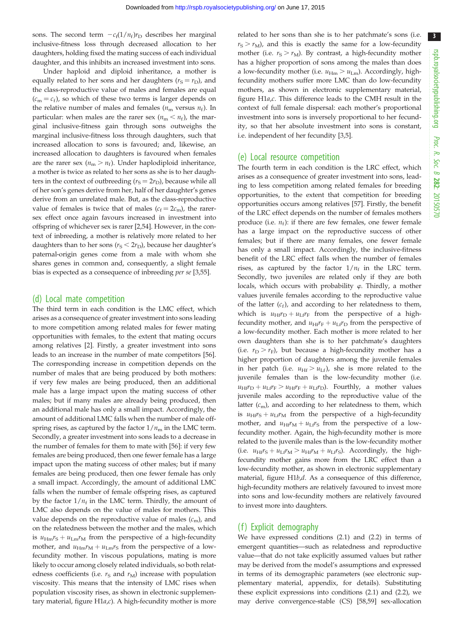sons. The second term  $-c_f(1/n_f)r_D$  describes her marginal inclusive-fitness loss through decreased allocation to her daughters, holding fixed the mating success of each individual daughter, and this inhibits an increased investment into sons.

Under haploid and diploid inheritance, a mother is equally related to her sons and her daughters ( $r_S = r_D$ ), and the class-reproductive value of males and females are equal  $(c_m = c_f)$ , so which of these two terms is larger depends on the relative number of males and females ( $n<sub>m</sub>$  versus  $n<sub>f</sub>$ ). In particular: when males are the rarer sex  $(n_m < n_f)$ , the marginal inclusive-fitness gain through sons outweighs the marginal inclusive-fitness loss through daughters, such that increased allocation to sons is favoured; and, likewise, an increased allocation to daughters is favoured when females are the rarer sex  $(n_m > n_f)$ . Under haplodiploid inheritance, a mother is twice as related to her sons as she is to her daughters in the context of outbreeding  $(r<sub>S</sub> = 2r<sub>D</sub>)$ , because while all of her son's genes derive from her, half of her daughter's genes derive from an unrelated male. But, as the class-reproductive value of females is twice that of males ( $c_f = 2c_m$ ), the rarersex effect once again favours increased in investment into offspring of whichever sex is rarer [\[2](#page-6-0)[,54](#page-7-0)]. However, in the context of inbreeding, a mother is relatively more related to her daughters than to her sons ( $r_S < 2r_D$ ), because her daughter's paternal-origin genes come from a male with whom she shares genes in common and, consequently, a slight female bias is expected as a consequence of inbreeding per se [\[3,](#page-6-0)[55\]](#page-7-0).

#### (d) Local mate competition

The third term in each condition is the LMC effect, which arises as a consequence of greater investment into sons leading to more competition among related males for fewer mating opportunities with females, to the extent that mating occurs among relatives [[2](#page-6-0)]. Firstly, a greater investment into sons leads to an increase in the number of mate competitors [\[56](#page-7-0)]. The corresponding increase in competition depends on the number of males that are being produced by both mothers: if very few males are being produced, then an additional male has a large impact upon the mating success of other males; but if many males are already being produced, then an additional male has only a small impact. Accordingly, the amount of additional LMC falls when the number of male offspring rises, as captured by the factor  $1/n<sub>m</sub>$  in the LMC term. Secondly, a greater investment into sons leads to a decrease in the number of females for them to mate with [[56\]](#page-7-0): if very few females are being produced, then one fewer female has a large impact upon the mating success of other males; but if many females are being produced, then one fewer female has only a small impact. Accordingly, the amount of additional LMC falls when the number of female offspring rises, as captured by the factor  $1/n_f$  in the LMC term. Thirdly, the amount of LMC also depends on the value of males for mothers. This value depends on the reproductive value of males  $(c<sub>m</sub>)$ , and on the relatedness between the mother and the males, which is  $u_{\text{Hm}}r_{\text{S}} + u_{\text{Lm}}r_{\text{M}}$  from the perspective of a high-fecundity mother, and  $u_{\text{Hm}}r_{\text{M}} + u_{\text{Lm}}r_{\text{S}}$  from the perspective of a lowfecundity mother. In viscous populations, mating is more likely to occur among closely related individuals, so both relatedness coefficients (i.e.  $r<sub>S</sub>$  and  $r<sub>M</sub>$ ) increase with population viscosity. This means that the intensity of LMC rises when population viscosity rises, as shown in electronic supplementary material, figure  $H1a,c$ ). A high-fecundity mother is more

related to her sons than she is to her patchmate's sons (i.e.  $r_S > r_M$ ), and this is exactly the same for a low-fecundity mother (i.e.  $r_S > r_M$ ). By contrast, a high-fecundity mother has a higher proportion of sons among the males than does a low-fecundity mother (i.e.  $u_{\text{Hm}} > u_{\text{Lm}}$ ). Accordingly, highfecundity mothers suffer more LMC than do low-fecundity mothers, as shown in electronic supplementary material, figure H1a,c. This difference leads to the CMH result in the context of full female dispersal: each mother's proportional investment into sons is inversely proportional to her fecundity, so that her absolute investment into sons is constant, i.e. independent of her fecundity [\[3,5\]](#page-6-0).

#### (e) Local resource competition

The fourth term in each condition is the LRC effect, which arises as a consequence of greater investment into sons, leading to less competition among related females for breeding opportunities, to the extent that competition for breeding opportunities occurs among relatives [\[57](#page-7-0)]. Firstly, the benefit of the LRC effect depends on the number of females mothers produce (i.e.  $n_f$ ): if there are few females, one fewer female has a large impact on the reproductive success of other females; but if there are many females, one fewer female has only a small impact. Accordingly, the inclusive-fitness benefit of the LRC effect falls when the number of females rises, as captured by the factor  $1/n_f$  in the LRC term. Secondly, two juveniles are related only if they are both locals, which occurs with probability  $\varphi$ . Thirdly, a mother values juvenile females according to the reproductive value of the latter  $(c_f)$ , and according to her relatedness to them, which is  $u_{\text{Hf}}r_{\text{D}} + u_{\text{L}f}r_{\text{F}}$  from the perspective of a highfecundity mother, and  $u_{\text{Hf}}r_{\text{F}} + u_{\text{Lf}}r_{\text{D}}$  from the perspective of a low-fecundity mother. Each mother is more related to her own daughters than she is to her patchmate's daughters (i.e.  $r_D > r_F$ ), but because a high-fecundity mother has a higher proportion of daughters among the juvenile females in her patch (i.e.  $u_{\text{Hf}} > u_{\text{Lf}}$ ), she is more related to the juvenile females than is the low-fecundity mother (i.e.  $u_{\text{Hf}}r_{\text{D}} + u_{\text{Lf}}r_{\text{F}} > u_{\text{Hf}}r_{\text{F}} + u_{\text{Lf}}r_{\text{D}}$ . Fourthly, a mother values juvenile males according to the reproductive value of the latter  $(c_m)$ , and according to her relatedness to them, which is  $u_{\text{Hf}}r_{\text{S}} + u_{\text{Lf}}r_{\text{M}}$  from the perspective of a high-fecundity mother, and  $u_{\text{Hf}^r\text{M}} + u_{\text{Lf}^r\text{S}}$  from the perspective of a lowfecundity mother. Again, the high-fecundity mother is more related to the juvenile males than is the low-fecundity mother (i.e.  $u_{\text{Hf}}r_{\text{S}} + u_{\text{Lf}}r_{\text{M}} > u_{\text{Hf}}r_{\text{M}} + u_{\text{Lf}}r_{\text{S}}$ ). Accordingly, the highfecundity mother gains more from the LRC effect than a low-fecundity mother, as shown in electronic supplementary material, figure H1b,d. As a consequence of this difference, high-fecundity mothers are relatively favoured to invest more into sons and low-fecundity mothers are relatively favoured to invest more into daughters.

#### (f) Explicit demography

We have expressed conditions (2.1) and (2.2) in terms of emergent quantities—such as relatedness and reproductive value—that do not take explicitly assumed values but rather may be derived from the model's assumptions and expressed in terms of its demographic parameters (see electronic supplementary material, appendix, for details). Substituting these explicit expressions into conditions (2.1) and (2.2), we may derive convergence-stable (CS) [\[58,59](#page-7-0)] sex-allocation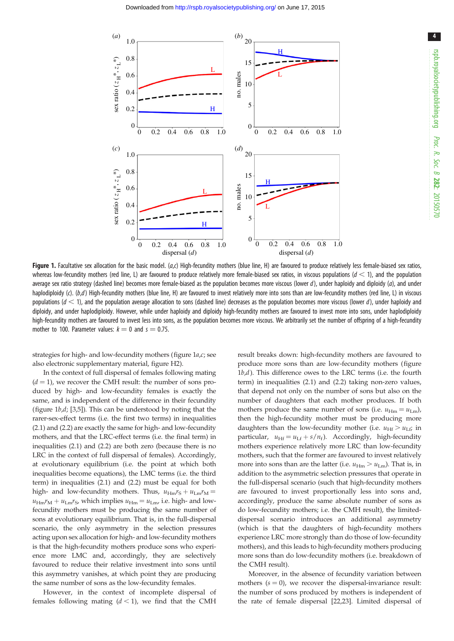<span id="page-3-0"></span>

Figure 1. Facultative sex allocation for the basic model.  $(a,c)$  High-fecundity mothers (blue line, H) are favoured to produce relatively less female-biased sex ratios, whereas low-fecundity mothers (red line, L) are favoured to produce relatively more female-biased sex ratios, in viscous populations  $(d<1)$ , and the population average sex ratio strategy (dashed line) becomes more female-biased as the population becomes more viscous (lower  $d$ ), under haploidy and diploidy  $(a)$ , and under haplodiploidy (c). (b,d) High-fecundity mothers (blue line, H) are favoured to invest relatively more into sons than are low-fecundity mothers (red line, L) in viscous populations ( $d < 1$ ), and the population average allocation to sons (dashed line) decreases as the population becomes more viscous (lower d), under haploidy and diploidy, and under haplodiploidy. However, while under haploidy and diploidy high-fecundity mothers are favoured to invest more into sons, under haplodiploidy high-fecundity mothers are favoured to invest less into sons, as the population becomes more viscous. We arbitrarily set the number of offspring of a high-fecundity mother to 100. Parameter values:  $k = 0$  and  $s = 0.75$ .

strategies for high- and low-fecundity mothers (figure 1a,c; see also electronic supplementary material, figure H2).

In the context of full dispersal of females following mating  $(d = 1)$ , we recover the CMH result: the number of sons produced by high- and low-fecundity females is exactly the same, and is independent of the difference in their fecundity (figure  $1b,d$ ; [\[3](#page-6-0),[5](#page-6-0)]). This can be understood by noting that the rarer-sex-effect terms (i.e. the first two terms) in inequalities (2.1) and (2.2) are exactly the same for high- and low-fecundity mothers, and that the LRC-effect terms (i.e. the final term) in inequalities (2.1) and (2.2) are both zero (because there is no LRC in the context of full dispersal of females). Accordingly, at evolutionary equilibrium (i.e. the point at which both inequalities become equations), the LMC terms (i.e. the third term) in inequalities (2.1) and (2.2) must be equal for both high- and low-fecundity mothers. Thus,  $u_{\text{Hm}}r_{\text{S}} + u_{\text{Lm}}r_{\text{M}} =$  $u_{\text{Hm}}r_{\text{M}} + u_{\text{Lm}}r_{\text{S}}$ , which implies  $u_{\text{Hm}} = u_{\text{Lm}}$ , i.e. high- and lowfecundity mothers must be producing the same number of sons at evolutionary equilibrium. That is, in the full-dispersal scenario, the only asymmetry in the selection pressures acting upon sex allocation for high- and low-fecundity mothers is that the high-fecundity mothers produce sons who experience more LMC and, accordingly, they are selectively favoured to reduce their relative investment into sons until this asymmetry vanishes, at which point they are producing the same number of sons as the low-fecundity females.

However, in the context of incomplete dispersal of females following mating  $(d < 1)$ , we find that the CMH result breaks down: high-fecundity mothers are favoured to produce more sons than are low-fecundity mothers (figure  $1b,d$ ). This difference owes to the LRC terms (i.e. the fourth term) in inequalities (2.1) and (2.2) taking non-zero values, that depend not only on the number of sons but also on the number of daughters that each mother produces. If both mothers produce the same number of sons (i.e.  $u_{\text{Hm}} = u_{\text{Lm}}$ ), then the high-fecundity mother must be producing more daughters than the low-fecundity mother (i.e.  $u_{\text{Hf}} > u_{\text{L}f}$  in particular,  $u_{\text{Hf}} = u_{\text{Lf}} + s/n_{\text{f}}$ . Accordingly, high-fecundity mothers experience relatively more LRC than low-fecundity mothers, such that the former are favoured to invest relatively more into sons than are the latter (i.e.  $u_{\text{Hm}} > u_{\text{Lm}}$ ). That is, in addition to the asymmetric selection pressures that operate in the full-dispersal scenario (such that high-fecundity mothers are favoured to invest proportionally less into sons and, accordingly, produce the same absolute number of sons as do low-fecundity mothers; i.e. the CMH result), the limiteddispersal scenario introduces an additional asymmetry (which is that the daughters of high-fecundity mothers experience LRC more strongly than do those of low-fecundity mothers), and this leads to high-fecundity mothers producing more sons than do low-fecundity mothers (i.e. breakdown of the CMH result).

Moreover, in the absence of fecundity variation between mothers  $(s = 0)$ , we recover the dispersal-invariance result: the number of sons produced by mothers is independent of the rate of female dispersal [\[22](#page-6-0),[23\]](#page-6-0). Limited dispersal of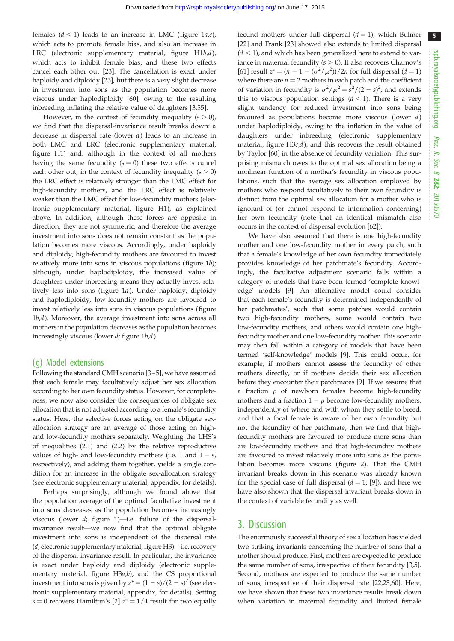females  $(d < 1)$  leads to an increase in LMC (figure  $1a,c$ ), which acts to promote female bias, and also an increase in LRC (electronic supplementary material, figure H1b,d), which acts to inhibit female bias, and these two effects cancel each other out [[23\]](#page-6-0). The cancellation is exact under haploidy and diploidy [\[23](#page-6-0)], but there is a very slight decrease in investment into sons as the population becomes more viscous under haplodiploidy [[60](#page-7-0)], owing to the resulting inbreeding inflating the relative value of daughters [\[3,](#page-6-0)[55\]](#page-7-0).

However, in the context of fecundity inequality  $(s > 0)$ , we find that the dispersal-invariance result breaks down: a decrease in dispersal rate (lower d) leads to an increase in both LMC and LRC (electronic supplementary material, figure H1) and, although in the context of all mothers having the same fecundity  $(s = 0)$  these two effects cancel each other out, in the context of fecundity inequality  $(s > 0)$ the LRC effect is relatively stronger than the LMC effect for high-fecundity mothers, and the LRC effect is relatively weaker than the LMC effect for low-fecundity mothers (electronic supplementary material, figure H1), as explained above. In addition, although these forces are opposite in direction, they are not symmetric, and therefore the average investment into sons does not remain constant as the population becomes more viscous. Accordingly, under haploidy and diploidy, high-fecundity mothers are favoured to invest relatively more into sons in viscous populations [\(figure 1](#page-3-0)*b*); although, under haplodiploidy, the increased value of daughters under inbreeding means they actually invest relatively less into sons ([figure 1](#page-3-0)d). Under haploidy, diploidy and haplodiploidy, low-fecundity mothers are favoured to invest relatively less into sons in viscous populations ([figure](#page-3-0)  $1b,d$  $1b,d$ ). Moreover, the average investment into sons across all mothers in the population decreases as the population becomes increasingly viscous (lower  $d$ ; figure  $1b,d$ ).

#### (g) Model extensions

Following the standard CMH scenario [[3](#page-6-0)–[5\]](#page-6-0), we have assumed that each female may facultatively adjust her sex allocation according to her own fecundity status. However, for completeness, we now also consider the consequences of obligate sex allocation that is not adjusted according to a female's fecundity status. Here, the selective forces acting on the obligate sexallocation strategy are an average of those acting on highand low-fecundity mothers separately. Weighting the LHS's of inequalities (2.1) and (2.2) by the relative reproductive values of high- and low-fecundity mothers (i.e. 1 and  $1 - s$ , respectively), and adding them together, yields a single condition for an increase in the obligate sex-allocation strategy (see electronic supplementary material, appendix, for details).

Perhaps surprisingly, although we found above that the population average of the optimal facultative investment into sons decreases as the population becomes increasingly viscous (lower d; [figure 1](#page-3-0))—i.e. failure of the dispersalinvariance result—we now find that the optimal obligate investment into sons is independent of the dispersal rate (d; electronic supplementary material, figure H3)—i.e. recovery of the dispersal-invariance result. In particular, the invariance is exact under haploidy and diploidy (electronic supplementary material, figure H3a,b), and the CS proportional investment into sons is given by  $z^* = (1 - s)/(2 - s)^2$  (see electronic supplementary material, appendix, for details). Setting  $s = 0$  recovers Hamilton's [\[2](#page-6-0)]  $z^* = 1/4$  result for two equally

fecund mothers under full dispersal  $(d = 1)$ , which Bulmer [[22\]](#page-6-0) and Frank [\[23](#page-6-0)] showed also extends to limited dispersal  $(d < 1)$ , and which has been generalized here to extend to variance in maternal fecundity  $(s > 0)$ . It also recovers Charnov's [[61\]](#page-7-0) result  $z^* = (n - 1 - (\sigma^2 / \mu^2))/2n$  for full dispersal  $(d = 1)$ where there are  $n = 2$  mothers in each patch and the coefficient of variation in fecundity is  $\sigma^2/\mu^2 = s^2/(2 - s)^2$ , and extends this to viscous population settings  $(d < 1)$ . There is a very slight tendency for reduced investment into sons being favoured as populations become more viscous (lower d) under haplodiploidy, owing to the inflation in the value of daughters under inbreeding (electronic supplementary material, figure H3c,d), and this recovers the result obtained by Taylor [\[60](#page-7-0)] in the absence of fecundity variation. This surprising mismatch owes to the optimal sex allocation being a nonlinear function of a mother's fecundity in viscous populations, such that the average sex allocation employed by mothers who respond facultatively to their own fecundity is distinct from the optimal sex allocation for a mother who is ignorant of (or cannot respond to information concerning) her own fecundity (note that an identical mismatch also occurs in the context of dispersal evolution [[62\]](#page-7-0)).

We have also assumed that there is one high-fecundity mother and one low-fecundity mother in every patch, such that a female's knowledge of her own fecundity immediately provides knowledge of her patchmate's fecundity. Accordingly, the facultative adjustment scenario falls within a category of models that have been termed 'complete knowledge' models [\[9\]](#page-6-0). An alternative model could consider that each female's fecundity is determined independently of her patchmates', such that some patches would contain two high-fecundity mothers, some would contain two low-fecundity mothers, and others would contain one highfecundity mother and one low-fecundity mother. This scenario may then fall within a category of models that have been termed 'self-knowledge' models [[9](#page-6-0)]. This could occur, for example, if mothers cannot assess the fecundity of other mothers directly, or if mothers decide their sex allocation before they encounter their patchmates [\[9\]](#page-6-0). If we assume that a fraction  $\rho$  of newborn females become high-fecundity mothers and a fraction  $1 - \rho$  become low-fecundity mothers, independently of where and with whom they settle to breed, and that a focal female is aware of her own fecundity but not the fecundity of her patchmate, then we find that highfecundity mothers are favoured to produce more sons than are low-fecundity mothers and that high-fecundity mothers are favoured to invest relatively more into sons as the population becomes more viscous [\(figure 2\)](#page-5-0). That the CMH invariant breaks down in this scenario was already known for the special case of full dispersal  $(d = 1; [9])$  $(d = 1; [9])$  $(d = 1; [9])$ , and here we have also shown that the dispersal invariant breaks down in the context of variable fecundity as well.

## 3. Discussion

The enormously successful theory of sex allocation has yielded two striking invariants concerning the number of sons that a mother should produce. First, mothers are expected to produce the same number of sons, irrespective of their fecundity [[3,5\]](#page-6-0). Second, mothers are expected to produce the same number of sons, irrespective of their dispersal rate [\[22,23](#page-6-0)[,60](#page-7-0)]. Here, we have shown that these two invariance results break down when variation in maternal fecundity and limited female 5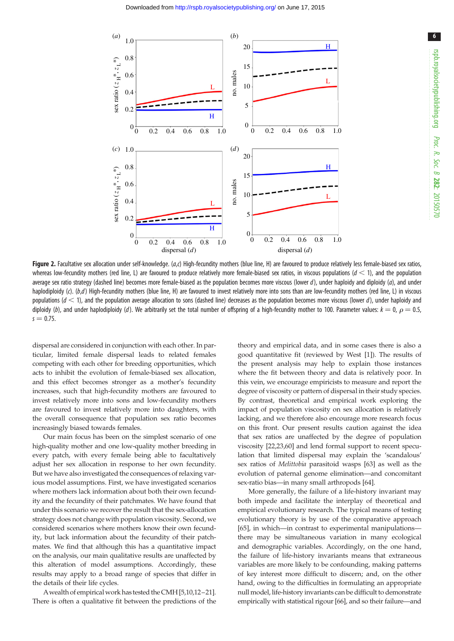<span id="page-5-0"></span>

Figure 2. Facultative sex allocation under self-knowledge. (a,c) High-fecundity mothers (blue line, H) are favoured to produce relatively less female-biased sex ratios, whereas low-fecundity mothers (red line, L) are favoured to produce relatively more female-biased sex ratios, in viscous populations  $(d<1)$ , and the population average sex ratio strategy (dashed line) becomes more female-biased as the population becomes more viscous (lower d), under haploidy and diploidy (a), and under haplodiploidy (c). (b,d) High-fecundity mothers (blue line, H) are favoured to invest relatively more into sons than are low-fecundity mothers (red line, L) in viscous populations ( $d < 1$ ), and the population average allocation to sons (dashed line) decreases as the population becomes more viscous (lower d), under haploidy and diploidy (b), and under haplodiploidy (d). We arbitrarily set the total number of offspring of a high-fecundity mother to 100. Parameter values:  $k = 0$ ,  $\rho = 0.5$ ,  $s = 0.75$ .

dispersal are considered in conjunction with each other. In particular, limited female dispersal leads to related females competing with each other for breeding opportunities, which acts to inhibit the evolution of female-biased sex allocation, and this effect becomes stronger as a mother's fecundity increases, such that high-fecundity mothers are favoured to invest relatively more into sons and low-fecundity mothers are favoured to invest relatively more into daughters, with the overall consequence that population sex ratio becomes increasingly biased towards females.

Our main focus has been on the simplest scenario of one high-quality mother and one low-quality mother breeding in every patch, with every female being able to facultatively adjust her sex allocation in response to her own fecundity. But we have also investigated the consequences of relaxing various model assumptions. First, we have investigated scenarios where mothers lack information about both their own fecundity and the fecundity of their patchmates. We have found that under this scenario we recover the result that the sex-allocation strategy does not change with population viscosity. Second, we considered scenarios where mothers know their own fecundity, but lack information about the fecundity of their patchmates. We find that although this has a quantitative impact on the analysis, our main qualitative results are unaffected by this alteration of model assumptions. Accordingly, these results may apply to a broad range of species that differ in the details of their life cycles.

Awealth of empirical work has tested the CMH [\[5,10,12](#page-6-0)–[21](#page-6-0)]. There is often a qualitative fit between the predictions of the theory and empirical data, and in some cases there is also a good quantitative fit (reviewed by West [[1](#page-6-0)]). The results of the present analysis may help to explain those instances where the fit between theory and data is relatively poor. In this vein, we encourage empiricists to measure and report the degree of viscosity or pattern of dispersal in their study species. By contrast, theoretical and empirical work exploring the impact of population viscosity on sex allocation is relatively lacking, and we therefore also encourage more research focus on this front. Our present results caution against the idea that sex ratios are unaffected by the degree of population viscosity [[22,23,](#page-6-0)[60\]](#page-7-0) and lend formal support to recent speculation that limited dispersal may explain the 'scandalous' sex ratios of Melittobia parasitoid wasps [\[63](#page-7-0)] as well as the evolution of paternal genome elimination—and concomitant sex-ratio bias—in many small arthropods [\[64](#page-7-0)].

More generally, the failure of a life-history invariant may both impede and facilitate the interplay of theoretical and empirical evolutionary research. The typical means of testing evolutionary theory is by use of the comparative approach [[65\]](#page-7-0), in which—in contrast to experimental manipulations there may be simultaneous variation in many ecological and demographic variables. Accordingly, on the one hand, the failure of life-history invariants means that extraneous variables are more likely to be confounding, making patterns of key interest more difficult to discern; and, on the other hand, owing to the difficulties in formulating an appropriate null model, life-history invariants can be difficult to demonstrate empirically with statistical rigour [\[66\]](#page-7-0), and so their failure—and

6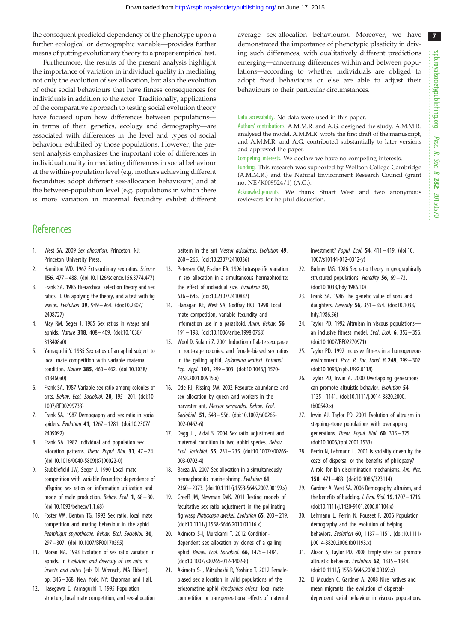7

<span id="page-6-0"></span>the consequent predicted dependency of the phenotype upon a further ecological or demographic variable—provides further means of putting evolutionary theory to a proper empirical test.

Furthermore, the results of the present analysis highlight the importance of variation in individual quality in mediating not only the evolution of sex allocation, but also the evolution of other social behaviours that have fitness consequences for individuals in addition to the actor. Traditionally, applications of the comparative approach to testing social evolution theory have focused upon how differences between populations in terms of their genetics, ecology and demography—are associated with differences in the level and types of social behaviour exhibited by those populations. However, the present analysis emphasizes the important role of differences in individual quality in mediating differences in social behaviour at the within-population level (e.g. mothers achieving different fecundities adopt different sex-allocation behaviours) and at the between-population level (e.g. populations in which there is more variation in maternal fecundity exhibit different average sex-allocation behaviours). Moreover, we have demonstrated the importance of phenotypic plasticity in driving such differences, with qualitatively different predictions emerging—concerning differences within and between populations—according to whether individuals are obliged to adopt fixed behaviours or else are able to adjust their behaviours to their particular circumstances.

#### Data accessibility. No data were used in this paper.

Authors' contributions. A.M.M.R. and A.G. designed the study. A.M.M.R. analysed the model. A.M.M.R. wrote the first draft of the manuscript, and A.M.M.R. and A.G. contributed substantially to later versions and approved the paper.

Competing interests. We declare we have no competing interests.

Funding. This research was supported by Wolfson College Cambridge (A.M.M.R.) and the Natural Environment Research Council (grant no. NE/K009524/1) (A.G.).

Acknowledgements. We thank Stuart West and two anonymous reviewers for helpful discussion.

# **References**

- 1. West SA. 2009 Sex allocation. Princeton, NJ: Princeton University Press.
- 2. Hamilton WD. 1967 Extraordinary sex ratios. Science 156, 477– 488. [\(doi:10.1126/science.156.3774.477](http://dx.doi.org/10.1126/science.156.3774.477))
- 3. Frank SA. 1985 Hierarchical selection theory and sex ratios. II. On applying the theory, and a test with fig wasps. Evolution 39, 949– 964. ([doi:10.2307/](http://dx.doi.org/10.2307/2408727) [2408727\)](http://dx.doi.org/10.2307/2408727)
- 4. May RM, Seger J. 1985 Sex ratios in wasps and aphids. Nature 318, 408 – 409. [\(doi:10.1038/](http://dx.doi.org/10.1038/318408a0) [318408a0\)](http://dx.doi.org/10.1038/318408a0)
- 5. Yamaguchi Y. 1985 Sex ratios of an aphid subject to local mate competition with variable maternal condition. Nature 385, 460 – 462. ([doi:10.1038/](http://dx.doi.org/10.1038/318460a0) [318460a0\)](http://dx.doi.org/10.1038/318460a0)
- 6. Frank SA. 1987 Variable sex ratio among colonies of ants. Behav. Ecol. Sociobiol. 20, 195– 201. [\(doi:10.](http://dx.doi.org/10.1007/BF00299733) [1007/BF00299733\)](http://dx.doi.org/10.1007/BF00299733)
- 7. Frank SA. 1987 Demography and sex ratio in social spiders. Evolution 41, 1267– 1281. [\(doi:10.2307/](http://dx.doi.org/10.2307/2409092) [2409092\)](http://dx.doi.org/10.2307/2409092)
- 8. Frank SA. 1987 Individual and population sex allocation patterns. Theor. Popul. Biol.  $31, 47 - 74$ . [\(doi:10.1016/0040-5809\(87\)90022-0](http://dx.doi.org/10.1016/0040-5809(87)90022-0))
- 9. Stubblefield JW, Seger J. 1990 Local mate competition with variable fecundity: dependence of offspring sex ratios on information utilization and mode of male production. Behav. Ecol. 1, 68-80. [\(doi:10.1093/beheco/1.1.68\)](http://dx.doi.org/10.1093/beheco/1.1.68)
- 10. Foster WA, Benton TG. 1992 Sex ratio, local mate competition and mating behaviour in the aphid Pemphigus spyrothecae. Behav. Ecol. Sociobiol. 30, 297– 307. ([doi:10.1007/BF00170595\)](http://dx.doi.org/10.1007/BF00170595)
- 11. Moran NA. 1993 Evolution of sex ratio variation in aphids. In Evolution and diversity of sex ratio in insects and mites (eds DL Wrensch, MA Ebbert), pp. 346 – 368. New York, NY: Chapman and Hall.
- 12. Hasegawa E, Yamaguchi T. 1995 Population structure, local mate competition, and sex-allocation

pattern in the ant Messor aciculatus. Evolution 49, 260 – 265. [\(doi:10.2307/2410336\)](http://dx.doi.org/10.2307/2410336)

- 13. Petersen CW, Fischer EA. 1996 Intraspecific variation in sex allocation in a simultaneous hermaphrodite: the effect of individual size. Evolution 50, 636 – 645. [\(doi:10.2307/2410837\)](http://dx.doi.org/10.2307/2410837)
- 14. Flanagan KE, West SA, Godfray HCJ. 1998 Local mate competition, variable fecundity and information use in a parasitoid. Anim. Behav. 56, 191 – 198. [\(doi:10.1006/anbe.1998.0768\)](http://dx.doi.org/10.1006/anbe.1998.0768)
- 15. Wool D, Sulami Z. 2001 Induction of alate sexuparae in root-cage colonies, and female-biased sex ratios in the galling aphid, Aploneura lentisci. Entomol. Exp. Appl. 101, 299 – 303. [\(doi:10.1046/j.1570-](http://dx.doi.org/10.1046/j.1570-7458.2001.00915.x) [7458.2001.00915.x\)](http://dx.doi.org/10.1046/j.1570-7458.2001.00915.x)
- 16. Ode PJ, Rissing SW. 2002 Resource abundance and sex allocation by queen and workers in the harvester ant, Messor pergandei. Behav. Ecol. Sociobiol. 51, 548– 556. ([doi:10.1007/s00265-](http://dx.doi.org/10.1007/s00265-002-0462-6) [002-0462-6\)](http://dx.doi.org/10.1007/s00265-002-0462-6)
- 17. Dagg JL, Vidal S. 2004 Sex ratio adjustment and maternal condition in two aphid species. Behav. Ecol. Sociobiol. 55, 231 – 235. ([doi:10.1007/s00265-](http://dx.doi.org/10.1007/s00265-003-0702-4) [003-0702-4\)](http://dx.doi.org/10.1007/s00265-003-0702-4)
- 18. Baeza JA. 2007 Sex allocation in a simultaneously hermaphroditic marine shrimp. Evolution 61, 2360–2373. ([doi:10.1111/j.1558-5646.2007.00199.x](http://dx.doi.org/10.1111/j.1558-5646.2007.00199.x))
- 19. Greeff JM, Newman DVK. 2011 Testing models of facultative sex ratio adjustment in the pollinating fig wasp Platyscapa awekei. Evolution 65, 203– 219. [\(doi:10.1111/j.1558-5646.2010.01116.x\)](http://dx.doi.org/10.1111/j.1558-5646.2010.01116.x)
- 20. Akimoto S-I, Murakami T. 2012 Conditiondependent sex allocation by clones of a galling aphid. Behav. Ecol. Sociobiol. 66, 1475– 1484. [\(doi:10.1007/s00265-012-1402-8](http://dx.doi.org/10.1007/s00265-012-1402-8))
- 21. Akimoto S-I, Mitsuhashi R, Yoshino T. 2012 Femalebiased sex allocation in wild populations of the eriosomatine aphid Prociphilus oriens: local mate competition or transgenerational effects of maternal

investment? Popul. Ecol. 54, 411 – 419. [\(doi:10.](http://dx.doi.org/10.1007/s10144-012-0312-y) [1007/s10144-012-0312-y](http://dx.doi.org/10.1007/s10144-012-0312-y))

- 22. Bulmer MG. 1986 Sex ratio theory in geographically structured populations. Heredity 56,  $69 - 73$ . ([doi:10.1038/hdy.1986.10](http://dx.doi.org/10.1038/hdy.1986.10))
- 23. Frank SA. 1986 The genetic value of sons and daughters. Heredity 56, 351 – 354. ([doi:10.1038/](http://dx.doi.org/10.1038/hdy.1986.56) [hdy.1986.56](http://dx.doi.org/10.1038/hdy.1986.56))
- 24. Taylor PD. 1992 Altruism in viscous populations an inclusive fitness model. Evol. Ecol. 6, 352-356. ([doi:10.1007/BF02270971](http://dx.doi.org/10.1007/BF02270971))
- 25. Taylor PD. 1992 Inclusive fitness in a homogeneous environment. Proc. R. Soc. Lond. B 249, 299-302. ([doi:10.1098/rspb.1992.0118\)](http://dx.doi.org/10.1098/rspb.1992.0118)
- 26. Taylor PD, Irwin A. 2000 Overlapping generations can promote altruistic behavior. Evolution 54, 1135– 1141. ([doi:10.1111/j.0014-3820.2000.](http://dx.doi.org/10.1111/j.0014-3820.2000.tb00549.x) [tb00549.x](http://dx.doi.org/10.1111/j.0014-3820.2000.tb00549.x))
- 27. Irwin AJ, Taylor PD. 2001 Evolution of altruism in stepping-stone populations with overlapping generations. Theor. Popul. Biol. 60, 315 – 325. ([doi:10.1006/tpbi.2001.1533\)](http://dx.doi.org/10.1006/tpbi.2001.1533)
- 28. Perrin N, Lehmann L. 2001 Is sociality driven by the costs of dispersal or the benefits of philopatry? A role for kin-discrimination mechanisms. Am. Nat. 158, 471– 483. [\(doi:10.1086/323114\)](http://dx.doi.org/10.1086/323114)
- 29. Gardner A, West SA. 2006 Demography, altruism, and the benefits of budding. J. Evol. Biol. 19, 1707– 1716. ([doi:10.1111/j.1420-9101.2006.01104.x](http://dx.doi.org/10.1111/j.1420-9101.2006.01104.x))
- 30. Lehmann L, Perrin N, Rousset F. 2006 Population demography and the evolution of helping behaviors. Evolution 60, 1137 – 1151. [\(doi:10.1111/](http://dx.doi.org/10.1111/j.0014-3820.2006.tb01193.x) [j.0014-3820.2006.tb01193.x\)](http://dx.doi.org/10.1111/j.0014-3820.2006.tb01193.x)
- 31. Alizon S, Taylor PD. 2008 Empty sites can promote altruistic behavior. Evolution 62, 1335– 1344. ([doi:10.1111/j.1558-5646.2008.00369.x\)](http://dx.doi.org/10.1111/j.1558-5646.2008.00369.x)
- 32. El Mouden C, Gardner A. 2008 Nice natives and mean migrants: the evolution of dispersaldependent social behaviour in viscous populations.